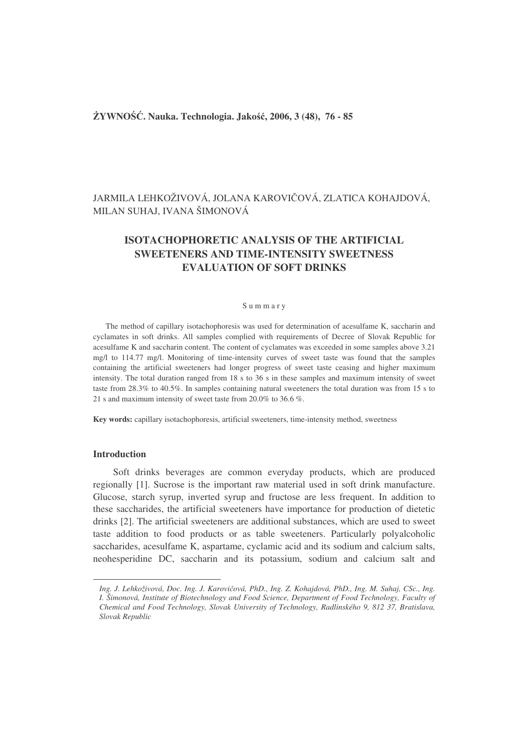# **YWNO**-**. Nauka. Technologia. Jako, 2006, 3 (48), 76 - 85**

# JARMILA LEHKOŽIVOVÁ, JOLANA KAROVIČOVÁ, ZLATICA KOHAJDOVÁ, MILAN SUHAJ, IVANA ŠIMONOVÁ

# **ISOTACHOPHORETIC ANALYSIS OF THE ARTIFICIAL SWEETENERS AND TIME-INTENSITY SWEETNESS EVALUATION OF SOFT DRINKS**

### S u m m a r y

The method of capillary isotachophoresis was used for determination of acesulfame K, saccharin and cyclamates in soft drinks. All samples complied with requirements of Decree of Slovak Republic for acesulfame K and saccharin content. The content of cyclamates was exceeded in some samples above 3.21 mg/l to 114.77 mg/l. Monitoring of time-intensity curves of sweet taste was found that the samples containing the artificial sweeteners had longer progress of sweet taste ceasing and higher maximum intensity. The total duration ranged from 18 s to 36 s in these samples and maximum intensity of sweet taste from 28.3% to 40.5%. In samples containing natural sweeteners the total duration was from 15 s to 21 s and maximum intensity of sweet taste from 20.0% to 36.6 %.

**Key words:** capillary isotachophoresis, artificial sweeteners, time-intensity method, sweetness

# **Introduction**

Soft drinks beverages are common everyday products, which are produced regionally [1]. Sucrose is the important raw material used in soft drink manufacture. Glucose, starch syrup, inverted syrup and fructose are less frequent. In addition to these saccharides, the artificial sweeteners have importance for production of dietetic drinks [2]. The artificial sweeteners are additional substances, which are used to sweet taste addition to food products or as table sweeteners. Particularly polyalcoholic saccharides, acesulfame K, aspartame, cyclamic acid and its sodium and calcium salts, neohesperidine DC, saccharin and its potassium, sodium and calcium salt and

Ing. J. Lehkoživová, Doc. Ing. J. Karovičová, PhD., Ing. Z. Kohajdová, PhD., Ing. M. Suhaj, CSc., Ing. *I. Šimonová, Institute of Biotechnology and Food Science, Department of Food Technology, Faculty of Chemical and Food Technology, Slovak University of Technology, Radlinského 9, 812 37, Bratislava, Slovak Republic*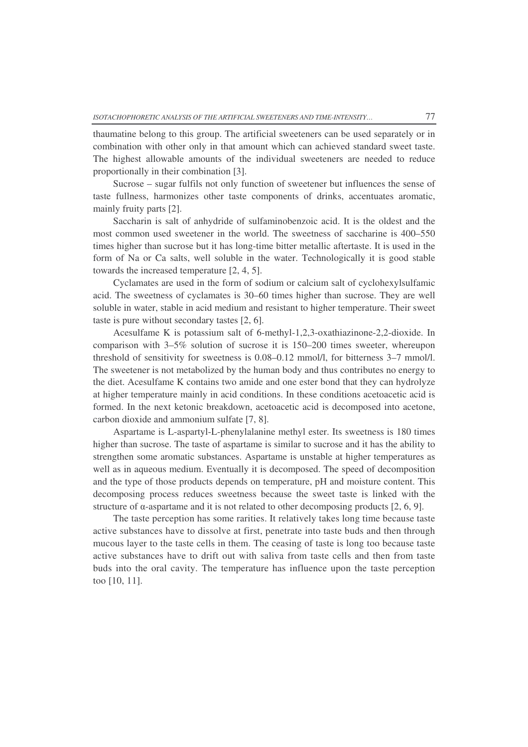thaumatine belong to this group. The artificial sweeteners can be used separately or in combination with other only in that amount which can achieved standard sweet taste. The highest allowable amounts of the individual sweeteners are needed to reduce proportionally in their combination [3].

Sucrose – sugar fulfils not only function of sweetener but influences the sense of taste fullness, harmonizes other taste components of drinks, accentuates aromatic, mainly fruity parts [2].

Saccharin is salt of anhydride of sulfaminobenzoic acid. It is the oldest and the most common used sweetener in the world. The sweetness of saccharine is 400–550 times higher than sucrose but it has long-time bitter metallic aftertaste. It is used in the form of Na or Ca salts, well soluble in the water. Technologically it is good stable towards the increased temperature [2, 4, 5].

Cyclamates are used in the form of sodium or calcium salt of cyclohexylsulfamic acid. The sweetness of cyclamates is 30–60 times higher than sucrose. They are well soluble in water, stable in acid medium and resistant to higher temperature. Their sweet taste is pure without secondary tastes [2, 6].

Acesulfame K is potassium salt of 6-methyl-1,2,3-oxathiazinone-2,2-dioxide. In comparison with 3–5% solution of sucrose it is 150–200 times sweeter, whereupon threshold of sensitivity for sweetness is 0.08–0.12 mmol/l, for bitterness 3–7 mmol/l. The sweetener is not metabolized by the human body and thus contributes no energy to the diet. Acesulfame K contains two amide and one ester bond that they can hydrolyze at higher temperature mainly in acid conditions. In these conditions acetoacetic acid is formed. In the next ketonic breakdown, acetoacetic acid is decomposed into acetone, carbon dioxide and ammonium sulfate [7, 8].

Aspartame is L-aspartyl-L-phenylalanine methyl ester. Its sweetness is 180 times higher than sucrose. The taste of aspartame is similar to sucrose and it has the ability to strengthen some aromatic substances. Aspartame is unstable at higher temperatures as well as in aqueous medium. Eventually it is decomposed. The speed of decomposition and the type of those products depends on temperature, pH and moisture content. This decomposing process reduces sweetness because the sweet taste is linked with the structure of  $\alpha$ -aspartame and it is not related to other decomposing products [2, 6, 9].

The taste perception has some rarities. It relatively takes long time because taste active substances have to dissolve at first, penetrate into taste buds and then through mucous layer to the taste cells in them. The ceasing of taste is long too because taste active substances have to drift out with saliva from taste cells and then from taste buds into the oral cavity. The temperature has influence upon the taste perception too [10, 11].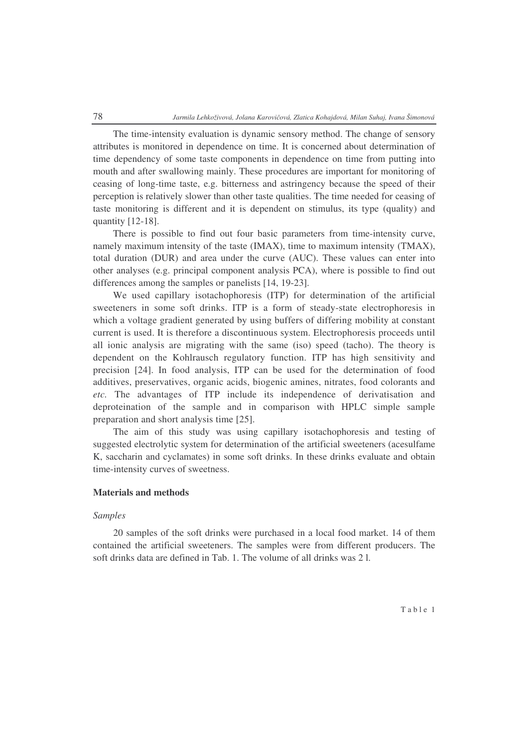The time-intensity evaluation is dynamic sensory method. The change of sensory attributes is monitored in dependence on time. It is concerned about determination of time dependency of some taste components in dependence on time from putting into mouth and after swallowing mainly. These procedures are important for monitoring of ceasing of long-time taste, e.g. bitterness and astringency because the speed of their perception is relatively slower than other taste qualities. The time needed for ceasing of taste monitoring is different and it is dependent on stimulus, its type (quality) and quantity [12-18].

There is possible to find out four basic parameters from time-intensity curve, namely maximum intensity of the taste (IMAX), time to maximum intensity (TMAX), total duration (DUR) and area under the curve (AUC). These values can enter into other analyses (e.g. principal component analysis PCA), where is possible to find out differences among the samples or panelists [14, 19-23].

We used capillary isotachophoresis (ITP) for determination of the artificial sweeteners in some soft drinks. ITP is a form of steady-state electrophoresis in which a voltage gradient generated by using buffers of differing mobility at constant current is used. It is therefore a discontinuous system. Electrophoresis proceeds until all ionic analysis are migrating with the same (iso) speed (tacho). The theory is dependent on the Kohlrausch regulatory function. ITP has high sensitivity and precision [24]. In food analysis, ITP can be used for the determination of food additives, preservatives, organic acids, biogenic amines, nitrates, food colorants and *etc.* The advantages of ITP include its independence of derivatisation and deproteination of the sample and in comparison with HPLC simple sample preparation and short analysis time [25].

The aim of this study was using capillary isotachophoresis and testing of suggested electrolytic system for determination of the artificial sweeteners (acesulfame K, saccharin and cyclamates) in some soft drinks. In these drinks evaluate and obtain time-intensity curves of sweetness.

### **Materials and methods**

### *Samples*

20 samples of the soft drinks were purchased in a local food market. 14 of them contained the artificial sweeteners. The samples were from different producers. The soft drinks data are defined in Tab. 1. The volume of all drinks was 2 l.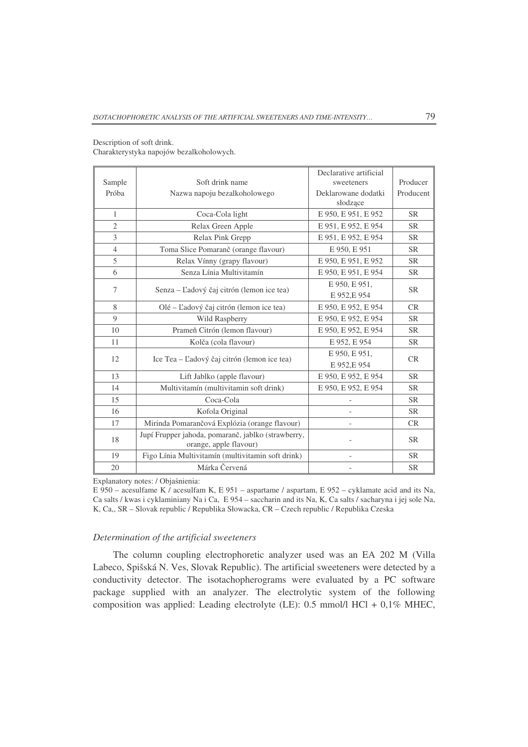| Sample         | Soft drink name                                                              | Declarative artificial<br>sweeteners | Producer  |  |
|----------------|------------------------------------------------------------------------------|--------------------------------------|-----------|--|
| Próba          | Nazwa napoju bezalkoholowego                                                 | Deklarowane dodatki<br>słodzące      | Producent |  |
| $\mathbf{1}$   | Coca-Cola light                                                              | E 950, E 951, E 952                  | <b>SR</b> |  |
| $\overline{2}$ | Relax Green Apple                                                            | E 951, E 952, E 954                  | <b>SR</b> |  |
| 3              | Relax Pink Grepp                                                             | E 951, E 952, E 954                  | <b>SR</b> |  |
| $\overline{4}$ | Toma Slice Pomaranč (orange flavour)                                         | E 950, E 951                         | <b>SR</b> |  |
| 5              | Relax Vínny (grapy flavour)                                                  | E 950, E 951, E 952                  | <b>SR</b> |  |
| 6              | Senza Línia Multivitamín                                                     | E 950, E 951, E 954                  | <b>SR</b> |  |
| 7              | Senza – Ľadový čaj citrón (lemon ice tea)                                    | E 950, E 951,<br>E 952, E 954        | <b>SR</b> |  |
| 8              | Olé – Ľadový čaj citrón (lemon ice tea)                                      | E 950, E 952, E 954                  | CR        |  |
| $\overline{9}$ | Wild Raspberry                                                               | E 950, E 952, E 954                  | <b>SR</b> |  |
| 10             | Prameň Citrón (lemon flavour)                                                | E 950, E 952, E 954                  | <b>SR</b> |  |
| 11             | Kolča (cola flavour)                                                         | E 952, E 954                         | <b>SR</b> |  |
| 12             | Ice Tea – Ľadový čaj citrón (lemon ice tea)                                  | E 950, E 951,<br>E 952, E 954        | <b>CR</b> |  |
| 13             | Lift Jablko (apple flavour)                                                  | E 950, E 952, E 954                  | <b>SR</b> |  |
| 14             | Multivitamín (multivitamin soft drink)                                       | E 950, E 952, E 954                  | <b>SR</b> |  |
| 15             | Coca-Cola                                                                    |                                      | <b>SR</b> |  |
| 16             | Kofola Original                                                              |                                      | <b>SR</b> |  |
| 17             | Mirinda Pomarančová Explózia (orange flavour)                                |                                      | CR        |  |
| 18             | Jupí Frupper jahoda, pomaranč, jablko (strawberry,<br>orange, apple flavour) |                                      | <b>SR</b> |  |
| 19             | Figo Línia Multivitamín (multivitamin soft drink)                            |                                      | <b>SR</b> |  |
| 20             | Márka Červená                                                                |                                      | <b>SR</b> |  |

Description of soft drink. Charakterystyka napojów bezalkoholowych.

Explanatory notes: / Objaśnienia:

E 950 – acesulfame K / acesulfam K, E 951 – aspartame / aspartam, E 952 – cyklamate acid and its Na, Ca salts / kwas i cyklaminiany Na i Ca, E 954 – saccharin and its Na, K, Ca salts / sacharyna i jej sole Na, K, Ca,, SR – Slovak republic / Republika Słowacka, CR – Czech republic / Republika Czeska

### *Determination of the artificial sweeteners*

The column coupling electrophoretic analyzer used was an EA 202 M (Villa Labeco, Spišská N. Ves, Slovak Republic). The artificial sweeteners were detected by a conductivity detector. The isotachopherograms were evaluated by a PC software package supplied with an analyzer. The electrolytic system of the following composition was applied: Leading electrolyte (LE): 0.5 mmol/l HCl + 0,1% MHEC,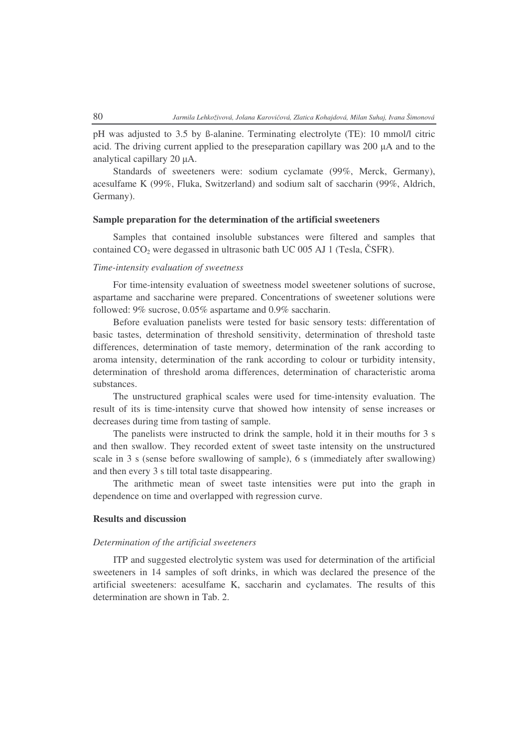pH was adjusted to 3.5 by ß-alanine. Terminating electrolyte (TE): 10 mmol/l citric acid. The driving current applied to the preseparation capillary was  $200 \mu A$  and to the analytical capillary 20  $\mu$ A.

Standards of sweeteners were: sodium cyclamate (99%, Merck, Germany), acesulfame K (99%, Fluka, Switzerland) and sodium salt of saccharin (99%, Aldrich, Germany).

# **Sample preparation for the determination of the artificial sweeteners**

Samples that contained insoluble substances were filtered and samples that contained  $CO<sub>2</sub>$  were degassed in ultrasonic bath UC 005 AJ 1 (Tesla, ČSFR).

# *Time-intensity evaluation of sweetness*

For time-intensity evaluation of sweetness model sweetener solutions of sucrose, aspartame and saccharine were prepared. Concentrations of sweetener solutions were followed: 9% sucrose, 0.05% aspartame and 0.9% saccharin.

Before evaluation panelists were tested for basic sensory tests: differentation of basic tastes, determination of threshold sensitivity, determination of threshold taste differences, determination of taste memory, determination of the rank according to aroma intensity, determination of the rank according to colour or turbidity intensity, determination of threshold aroma differences, determination of characteristic aroma substances.

The unstructured graphical scales were used for time-intensity evaluation. The result of its is time-intensity curve that showed how intensity of sense increases or decreases during time from tasting of sample.

The panelists were instructed to drink the sample, hold it in their mouths for 3 s and then swallow. They recorded extent of sweet taste intensity on the unstructured scale in 3 s (sense before swallowing of sample), 6 s (immediately after swallowing) and then every 3 s till total taste disappearing.

The arithmetic mean of sweet taste intensities were put into the graph in dependence on time and overlapped with regression curve.

# **Results and discussion**

### *Determination of the artificial sweeteners*

ITP and suggested electrolytic system was used for determination of the artificial sweeteners in 14 samples of soft drinks, in which was declared the presence of the artificial sweeteners: acesulfame K, saccharin and cyclamates. The results of this determination are shown in Tab. 2.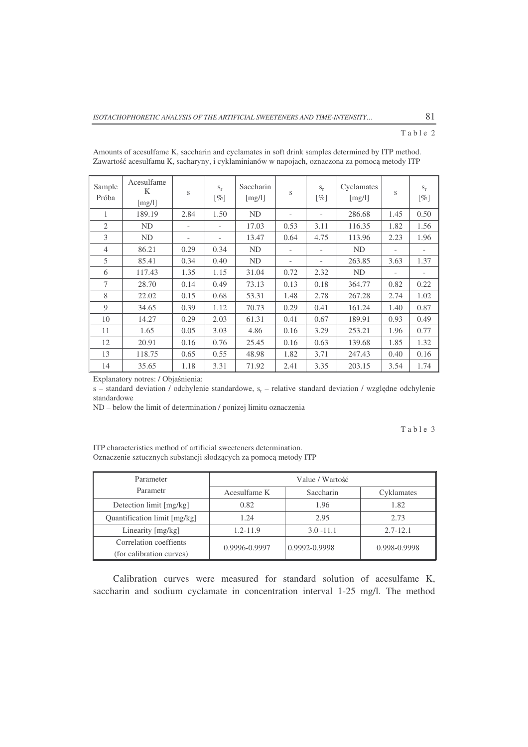### Table 2

| Sample<br>Próba | Acesulfame<br>K<br>[mg/l] | S                        | $S_{r}$<br>$\lceil \% \rceil$ | Saccharin<br>[mg/l] | S                        | $S_r$<br>$\lceil \% \rceil$ | Cyclamates<br>[mg/l] | S                        | $S_r$<br>$\lceil \% \rceil$ |
|-----------------|---------------------------|--------------------------|-------------------------------|---------------------|--------------------------|-----------------------------|----------------------|--------------------------|-----------------------------|
| 1               | 189.19                    | 2.84                     | 1.50                          | <b>ND</b>           | $\overline{\phantom{0}}$ |                             | 286.68               | 1.45                     | 0.50                        |
| $\overline{2}$  | <b>ND</b>                 | $\overline{\phantom{a}}$ |                               | 17.03               | 0.53                     | 3.11                        | 116.35               | 1.82                     | 1.56                        |
| 3               | ND                        |                          | $\overline{\phantom{a}}$      | 13.47               | 0.64                     | 4.75                        | 113.96               | 2.23                     | 1.96                        |
| $\overline{4}$  | 86.21                     | 0.29                     | 0.34                          | ND                  | -                        |                             | ND                   | $\overline{\phantom{a}}$ |                             |
| 5               | 85.41                     | 0.34                     | 0.40                          | <b>ND</b>           | $\overline{\phantom{0}}$ |                             | 263.85               | 3.63                     | 1.37                        |
| 6               | 117.43                    | 1.35                     | 1.15                          | 31.04               | 0.72                     | 2.32                        | ND                   | $\overline{\phantom{a}}$ |                             |
| 7               | 28.70                     | 0.14                     | 0.49                          | 73.13               | 0.13                     | 0.18                        | 364.77               | 0.82                     | 0.22                        |
| 8               | 22.02                     | 0.15                     | 0.68                          | 53.31               | 1.48                     | 2.78                        | 267.28               | 2.74                     | 1.02                        |
| 9               | 34.65                     | 0.39                     | 1.12                          | 70.73               | 0.29                     | 0.41                        | 161.24               | 1.40                     | 0.87                        |
| 10              | 14.27                     | 0.29                     | 2.03                          | 61.31               | 0.41                     | 0.67                        | 189.91               | 0.93                     | 0.49                        |
| 11              | 1.65                      | 0.05                     | 3.03                          | 4.86                | 0.16                     | 3.29                        | 253.21               | 1.96                     | 0.77                        |
| 12              | 20.91                     | 0.16                     | 0.76                          | 25.45               | 0.16                     | 0.63                        | 139.68               | 1.85                     | 1.32                        |
| 13              | 118.75                    | 0.65                     | 0.55                          | 48.98               | 1.82                     | 3.71                        | 247.43               | 0.40                     | 0.16                        |
| 14              | 35.65                     | 1.18                     | 3.31                          | 71.92               | 2.41                     | 3.35                        | 203.15               | 3.54                     | 1.74                        |

Amounts of acesulfame K, saccharin and cyclamates in soft drink samples determined by ITP method. Zawartość acesulfamu K, sacharyny, i cyklaminianów w napojach, oznaczona za pomocą metody ITP

Explanatory notres: / Objaśnienia:

s – standard deviation / odchylenie standardowe,  $s_r$  – relative standard deviation / względne odchylenie standardowe

ND – below the limit of determination / ponizej limitu oznaczenia

Table 3

ITP characteristics method of artificial sweeteners determination. Oznaczenie sztucznych substancji słodzących za pomocą metody ITP

| Parameter                                          | Value / Wartość   |               |              |  |
|----------------------------------------------------|-------------------|---------------|--------------|--|
| Parametr                                           | Acesulfame K      | Saccharin     | Cyklamates   |  |
| Detection limit [mg/kg]                            | 0.82              | 1.96          | 1.82         |  |
| Quantification limit [mg/kg]                       | 1.24              | 2.95          | 2.73         |  |
| Linearity [mg/kg]                                  | $1.2 - 11.9$      | $3.0 - 11.1$  | $2.7 - 12.1$ |  |
| Correlation coeffients<br>(for calibration curves) | $0.9996 - 0.9997$ | 0.9992-0.9998 | 0.998-0.9998 |  |

Calibration curves were measured for standard solution of acesulfame K, saccharin and sodium cyclamate in concentration interval 1-25 mg/l. The method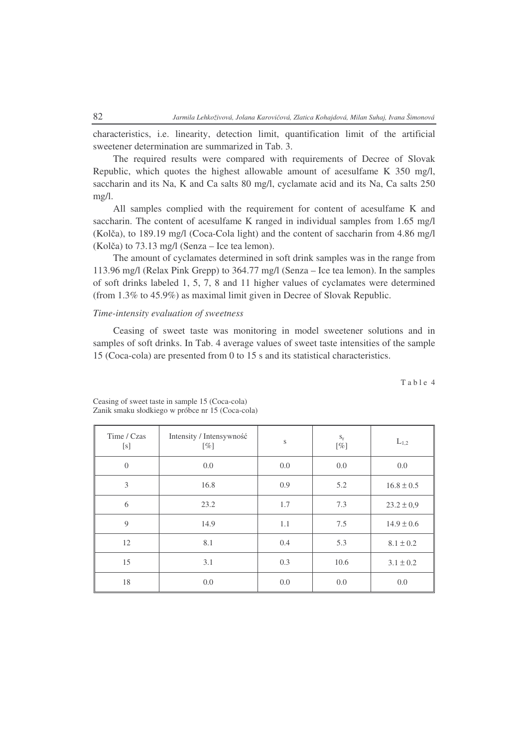characteristics, i.e. linearity, detection limit, quantification limit of the artificial sweetener determination are summarized in Tab. 3.

The required results were compared with requirements of Decree of Slovak Republic, which quotes the highest allowable amount of acesulfame K 350 mg/l, saccharin and its Na, K and Ca salts 80 mg/l, cyclamate acid and its Na, Ca salts 250 mg/l.

All samples complied with the requirement for content of acesulfame K and saccharin. The content of acesulfame K ranged in individual samples from 1.65 mg/l (Kolča), to 189.19 mg/l (Coca-Cola light) and the content of saccharin from 4.86 mg/l  $(Kol\check{c}a)$  to 73.13 mg/l (Senza – Ice tea lemon).

The amount of cyclamates determined in soft drink samples was in the range from 113.96 mg/l (Relax Pink Grepp) to 364.77 mg/l (Senza – Ice tea lemon). In the samples of soft drinks labeled 1, 5, 7, 8 and 11 higher values of cyclamates were determined (from 1.3% to 45.9%) as maximal limit given in Decree of Slovak Republic.

### *Time-intensity evaluation of sweetness*

Ceasing of sweet taste was monitoring in model sweetener solutions and in samples of soft drinks. In Tab. 4 average values of sweet taste intensities of the sample 15 (Coca-cola) are presented from 0 to 15 s and its statistical characteristics.

Table 4

| Time / Czas<br>[s] | Intensity / Intensywność<br>$[\%]$ | S       | $\mathbf{S}_{\texttt{T}}$<br>$[\%]$ | $L_{1,2}$      |
|--------------------|------------------------------------|---------|-------------------------------------|----------------|
| $\overline{0}$     | 0.0                                | 0.0     | 0.0                                 | 0.0            |
| 3                  | 16.8                               | 0.9     | 5.2                                 | $16.8 \pm 0.5$ |
| 6                  | 23.2                               | 1.7     | 7.3                                 | $23.2 \pm 0.9$ |
| 9                  | 14.9                               | 1.1     | 7.5                                 | $14.9 \pm 0.6$ |
| 12                 | 8.1                                | 0.4     | 5.3                                 | $8.1 \pm 0.2$  |
| 15                 | 3.1                                | 0.3     | 10.6                                | $3.1 \pm 0.2$  |
| 18                 | 0.0                                | $0.0\,$ | 0.0                                 | 0.0            |

Ceasing of sweet taste in sample 15 (Coca-cola) Zanik smaku słodkiego w próbce nr 15 (Coca-cola)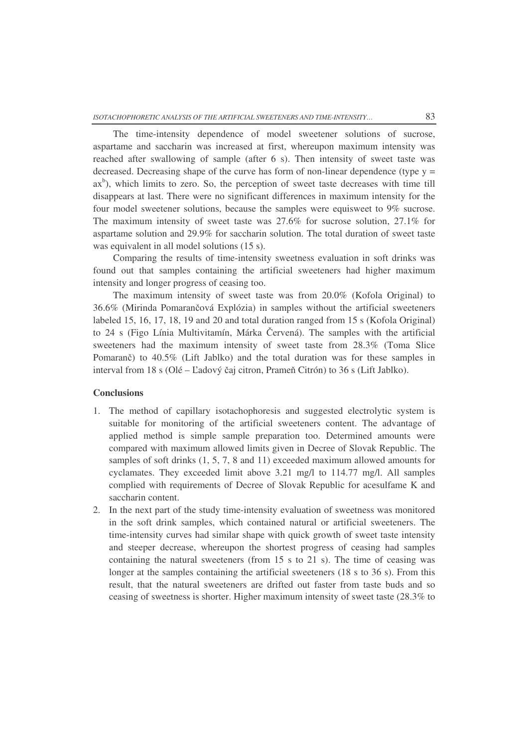The time-intensity dependence of model sweetener solutions of sucrose, aspartame and saccharin was increased at first, whereupon maximum intensity was reached after swallowing of sample (after 6 s). Then intensity of sweet taste was decreased. Decreasing shape of the curve has form of non-linear dependence (type  $y =$ ax<sup>b</sup>), which limits to zero. So, the perception of sweet taste decreases with time till disappears at last. There were no significant differences in maximum intensity for the four model sweetener solutions, because the samples were equisweet to 9% sucrose. The maximum intensity of sweet taste was 27.6% for sucrose solution, 27.1% for aspartame solution and 29.9% for saccharin solution. The total duration of sweet taste was equivalent in all model solutions (15 s).

Comparing the results of time-intensity sweetness evaluation in soft drinks was found out that samples containing the artificial sweeteners had higher maximum intensity and longer progress of ceasing too.

The maximum intensity of sweet taste was from 20.0% (Kofola Original) to 36.6% (Mirinda Pomarančová Explózia) in samples without the artificial sweeteners labeled 15, 16, 17, 18, 19 and 20 and total duration ranged from 15 s (Kofola Original) to 24 s (Figo Línia Multivitamín, Márka Červená). The samples with the artificial sweeteners had the maximum intensity of sweet taste from 28.3% (Toma Slice Pomaranč) to 40.5% (Lift Jablko) and the total duration was for these samples in interval from 18 s (Olé – Ľadový čaj citron, Prameň Citrón) to 36 s (Lift Jablko).

# **Conclusions**

- 1. The method of capillary isotachophoresis and suggested electrolytic system is suitable for monitoring of the artificial sweeteners content. The advantage of applied method is simple sample preparation too. Determined amounts were compared with maximum allowed limits given in Decree of Slovak Republic. The samples of soft drinks (1, 5, 7, 8 and 11) exceeded maximum allowed amounts for cyclamates. They exceeded limit above 3.21 mg/l to 114.77 mg/l. All samples complied with requirements of Decree of Slovak Republic for acesulfame K and saccharin content.
- 2. In the next part of the study time-intensity evaluation of sweetness was monitored in the soft drink samples, which contained natural or artificial sweeteners. The time-intensity curves had similar shape with quick growth of sweet taste intensity and steeper decrease, whereupon the shortest progress of ceasing had samples containing the natural sweeteners (from 15 s to 21 s). The time of ceasing was longer at the samples containing the artificial sweeteners (18 s to 36 s). From this result, that the natural sweeteners are drifted out faster from taste buds and so ceasing of sweetness is shorter. Higher maximum intensity of sweet taste (28.3% to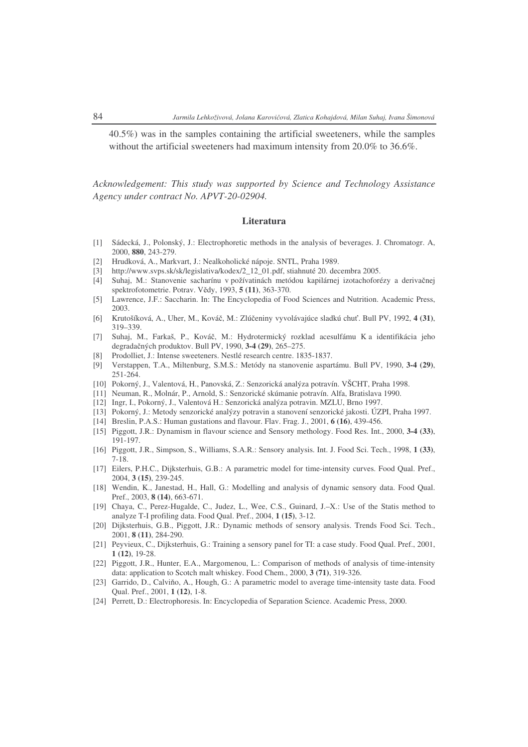40.5%) was in the samples containing the artificial sweeteners, while the samples without the artificial sweeteners had maximum intensity from 20.0% to 36.6%.

*Acknowledgement: This study was supported by Science and Technology Assistance Agency under contract No. APVT-20-02904.*

#### **Literatura**

- [1] Sádecká, J., Polonský, J.: Electrophoretic methods in the analysis of beverages. J. Chromatogr. A, 2000, **880**, 243-279.
- [2] Hrudková, A., Markvart, J.: Nealkoholické nápoje. SNTL, Praha 1989.
- [3] http://www.svps.sk/sk/legislativa/kodex/2\_12\_01.pdf, stiahnuté 20. decembra 2005.
- [4] Suhaj, M.: Stanovenie sacharínu v požívatinách metódou kapilárnej izotachoforézy a derivačnej spektrofotometrie. Potrav. Vědy, 1993, 5 (11), 363-370.
- [5] Lawrence, J.F.: Saccharin. In: The Encyclopedia of Food Sciences and Nutrition. Academic Press, 2003.
- [6] Krutošíková, A., Uher, M., Ková, M.: Zlúeniny vyvolávajúce sladkú chu. Bull PV, 1992, **4 (31)**, 319–339.
- [7] Suhaj, M., Farkaš, P., Ková, M.: Hydrotermický rozklad acesulfámu K a identifikácia jeho degradaných produktov. Bull PV, 1990, **3-4 (29)**, 265–275.
- [8] Prodolliet, J.: Intense sweeteners. Nestlé research centre. 1835-1837.
- [9] Verstappen, T.A., Miltenburg, S.M.S.: Metódy na stanovenie aspartámu. Bull PV, 1990, **3-4 (29)**, 251-264.
- [10] Pokorný, J., Valentová, H., Panovská, Z.: Senzorická analýza potravín. VŠCHT, Praha 1998.
- [11] Neuman, R., Molnár, P., Arnold, S.: Senzorické skúmanie potravín. Alfa, Bratislava 1990.
- [12] Ingr, I., Pokorný, J., Valentová H.: Senzorická analýza potravin. MZLU, Brno 1997.
- [13] Pokorný, J.: Metody senzorické analýzy potravin a stanovení senzorické jakosti. ÚZPI, Praha 1997.
- [14] Breslin, P.A.S.: Human gustations and flavour. Flav. Frag. J., 2001, **6 (16)**, 439-456.
- [15] Piggott, J.R.: Dynamism in flavour science and Sensory methology. Food Res. Int., 2000, **3-4 (33)**, 191-197.
- [16] Piggott, J.R., Simpson, S., Williams, S.A.R.: Sensory analysis. Int. J. Food Sci. Tech., 1998, **1 (33)**, 7-18.
- [17] Eilers, P.H.C., Dijksterhuis, G.B.: A parametric model for time-intensity curves. Food Qual. Pref., 2004, **3 (15)**, 239-245.
- [18] Wendin, K., Janestad, H., Hall, G.: Modelling and analysis of dynamic sensory data. Food Qual. Pref., 2003, **8 (14)**, 663-671.
- [19] Chaya, C., Perez-Hugalde, C., Judez, L., Wee, C.S., Guinard, J.–X.: Use of the Statis method to analyze T-I profiling data. Food Qual. Pref., 2004, **1 (15)**, 3-12.
- [20] Dijksterhuis, G.B., Piggott, J.R.: Dynamic methods of sensory analysis. Trends Food Sci. Tech., 2001, **8 (11)**, 284-290.
- [21] Peyvieux, C., Dijksterhuis, G.: Training a sensory panel for TI: a case study. Food Qual. Pref., 2001, **1 (12)**, 19-28.
- [22] Piggott, J.R., Hunter, E.A., Margomenou, L.: Comparison of methods of analysis of time-intensity data: application to Scotch malt whiskey. Food Chem., 2000, **3 (71)**, 319-326.
- [23] Garrido, D., Calviño, A., Hough, G.: A parametric model to average time-intensity taste data. Food Qual. Pref., 2001, **1 (12)**, 1-8.
- [24] Perrett, D.: Electrophoresis. In: Encyclopedia of Separation Science. Academic Press, 2000.